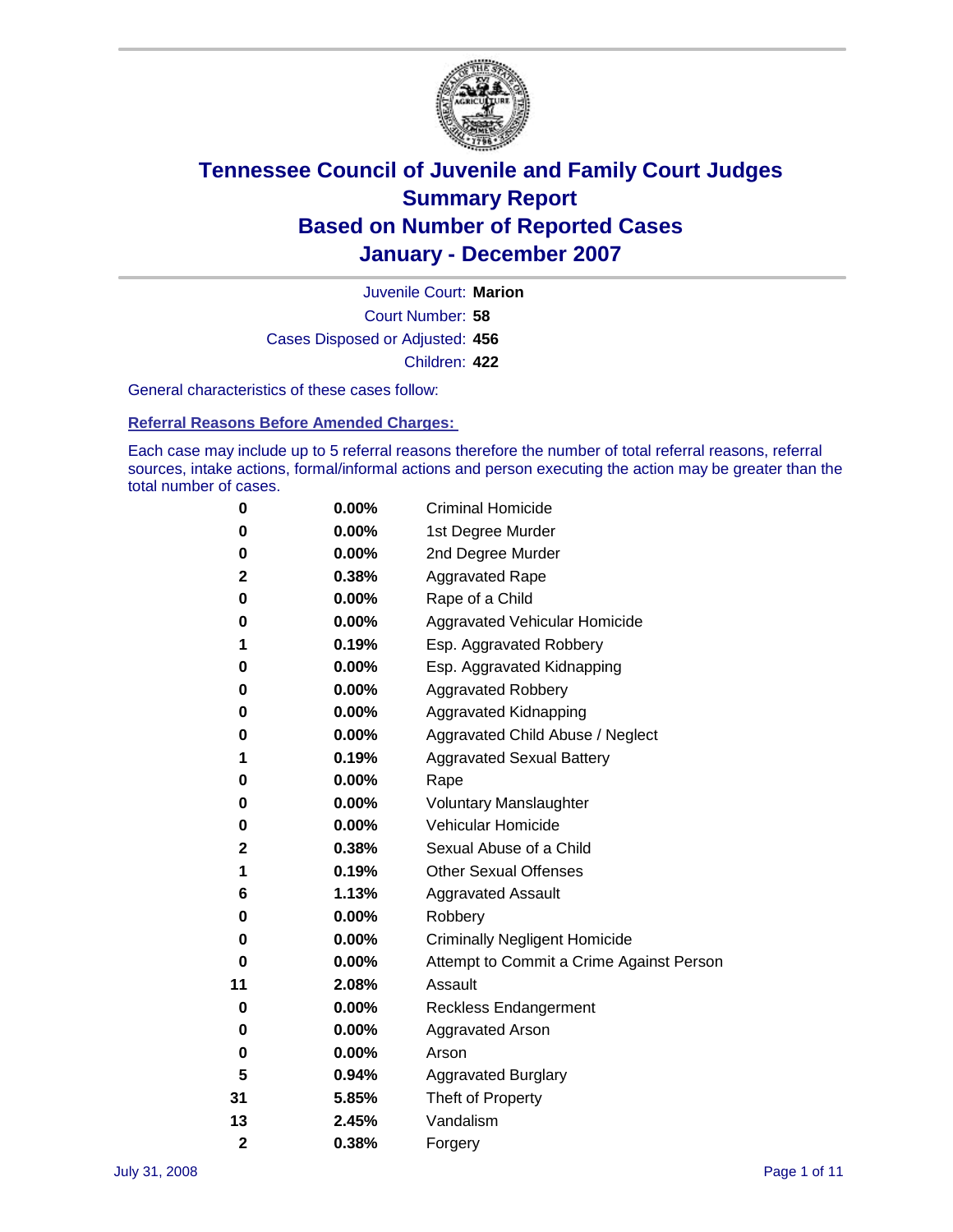

Court Number: **58** Juvenile Court: **Marion** Cases Disposed or Adjusted: **456** Children: **422**

General characteristics of these cases follow:

**Referral Reasons Before Amended Charges:** 

Each case may include up to 5 referral reasons therefore the number of total referral reasons, referral sources, intake actions, formal/informal actions and person executing the action may be greater than the total number of cases.

| 0              | 0.00%    | <b>Criminal Homicide</b>                 |
|----------------|----------|------------------------------------------|
| 0              | 0.00%    | 1st Degree Murder                        |
| 0              | $0.00\%$ | 2nd Degree Murder                        |
| 2              | 0.38%    | <b>Aggravated Rape</b>                   |
| 0              | 0.00%    | Rape of a Child                          |
| 0              | 0.00%    | Aggravated Vehicular Homicide            |
| 1              | 0.19%    | Esp. Aggravated Robbery                  |
| 0              | $0.00\%$ | Esp. Aggravated Kidnapping               |
| 0              | 0.00%    | <b>Aggravated Robbery</b>                |
| 0              | 0.00%    | Aggravated Kidnapping                    |
| 0              | 0.00%    | Aggravated Child Abuse / Neglect         |
| 1              | 0.19%    | <b>Aggravated Sexual Battery</b>         |
| 0              | 0.00%    | Rape                                     |
| 0              | 0.00%    | <b>Voluntary Manslaughter</b>            |
| 0              | 0.00%    | Vehicular Homicide                       |
| 2              | 0.38%    | Sexual Abuse of a Child                  |
| 1              | 0.19%    | <b>Other Sexual Offenses</b>             |
| 6              | 1.13%    | <b>Aggravated Assault</b>                |
| 0              | 0.00%    | Robbery                                  |
| 0              | 0.00%    | <b>Criminally Negligent Homicide</b>     |
| 0              | 0.00%    | Attempt to Commit a Crime Against Person |
| 11             | 2.08%    | Assault                                  |
| 0              | 0.00%    | <b>Reckless Endangerment</b>             |
| 0              | 0.00%    | <b>Aggravated Arson</b>                  |
| 0              | 0.00%    | Arson                                    |
| 5              | 0.94%    | <b>Aggravated Burglary</b>               |
| 31             | 5.85%    | Theft of Property                        |
| 13             | 2.45%    | Vandalism                                |
| $\overline{2}$ | 0.38%    | Forgery                                  |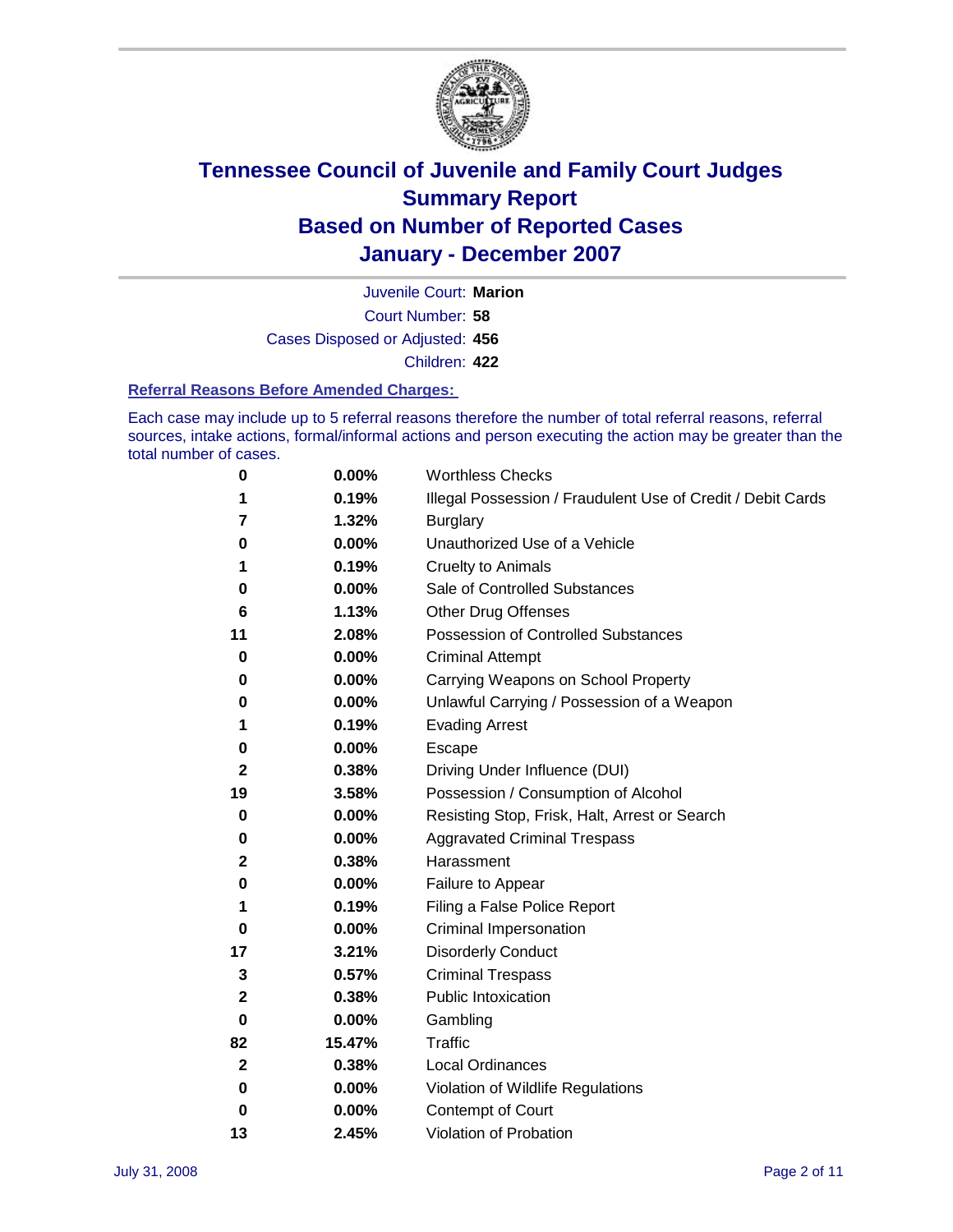

Court Number: **58** Juvenile Court: **Marion** Cases Disposed or Adjusted: **456** Children: **422**

#### **Referral Reasons Before Amended Charges:**

Each case may include up to 5 referral reasons therefore the number of total referral reasons, referral sources, intake actions, formal/informal actions and person executing the action may be greater than the total number of cases.

| 0           | 0.00%    | <b>Worthless Checks</b>                                     |
|-------------|----------|-------------------------------------------------------------|
|             | 0.19%    | Illegal Possession / Fraudulent Use of Credit / Debit Cards |
| 7           | 1.32%    | <b>Burglary</b>                                             |
| 0           | 0.00%    | Unauthorized Use of a Vehicle                               |
| 1           | 0.19%    | <b>Cruelty to Animals</b>                                   |
| 0           | 0.00%    | Sale of Controlled Substances                               |
| 6           | 1.13%    | <b>Other Drug Offenses</b>                                  |
| 11          | 2.08%    | Possession of Controlled Substances                         |
| 0           | 0.00%    | <b>Criminal Attempt</b>                                     |
| 0           | 0.00%    | Carrying Weapons on School Property                         |
| 0           | 0.00%    | Unlawful Carrying / Possession of a Weapon                  |
| 1           | 0.19%    | <b>Evading Arrest</b>                                       |
| 0           | 0.00%    | Escape                                                      |
| 2           | 0.38%    | Driving Under Influence (DUI)                               |
| 19          | 3.58%    | Possession / Consumption of Alcohol                         |
| 0           | 0.00%    | Resisting Stop, Frisk, Halt, Arrest or Search               |
| 0           | 0.00%    | <b>Aggravated Criminal Trespass</b>                         |
| 2           | 0.38%    | Harassment                                                  |
| 0           | 0.00%    | Failure to Appear                                           |
| 1           | 0.19%    | Filing a False Police Report                                |
| 0           | $0.00\%$ | Criminal Impersonation                                      |
| 17          | 3.21%    | <b>Disorderly Conduct</b>                                   |
| 3           | 0.57%    | <b>Criminal Trespass</b>                                    |
| 2           | 0.38%    | <b>Public Intoxication</b>                                  |
| 0           | 0.00%    | Gambling                                                    |
| 82          | 15.47%   | Traffic                                                     |
| $\mathbf 2$ | 0.38%    | <b>Local Ordinances</b>                                     |
| 0           | 0.00%    | Violation of Wildlife Regulations                           |
| 0           | 0.00%    | Contempt of Court                                           |
| 13          | 2.45%    | Violation of Probation                                      |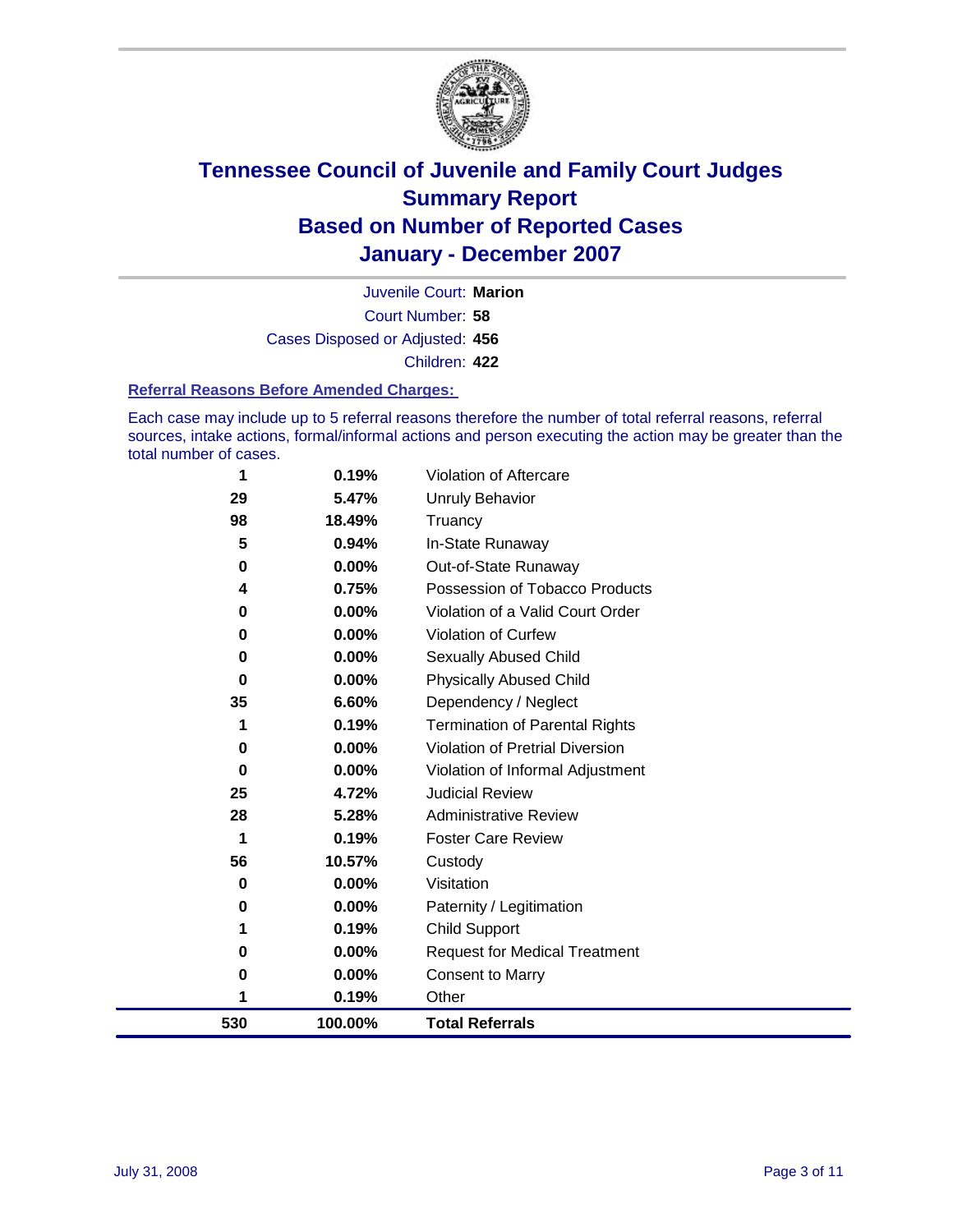

Court Number: **58** Juvenile Court: **Marion** Cases Disposed or Adjusted: **456** Children: **422**

#### **Referral Reasons Before Amended Charges:**

Each case may include up to 5 referral reasons therefore the number of total referral reasons, referral sources, intake actions, formal/informal actions and person executing the action may be greater than the total number of cases.

| 530      | 100.00%  | <b>Total Referrals</b>                 |
|----------|----------|----------------------------------------|
| 1        | 0.19%    | Other                                  |
| 0        | 0.00%    | <b>Consent to Marry</b>                |
| $\bf{0}$ | 0.00%    | <b>Request for Medical Treatment</b>   |
| 1        | 0.19%    | Child Support                          |
| 0        | 0.00%    | Paternity / Legitimation               |
| 0        | $0.00\%$ | Visitation                             |
| 56       | 10.57%   | Custody                                |
| 1        | 0.19%    | <b>Foster Care Review</b>              |
| 28       | 5.28%    | <b>Administrative Review</b>           |
| 25       | 4.72%    | <b>Judicial Review</b>                 |
| $\bf{0}$ | $0.00\%$ | Violation of Informal Adjustment       |
| 0        | $0.00\%$ | <b>Violation of Pretrial Diversion</b> |
| 1        | 0.19%    | <b>Termination of Parental Rights</b>  |
| 35       | 6.60%    | Dependency / Neglect                   |
| $\bf{0}$ | $0.00\%$ | <b>Physically Abused Child</b>         |
| 0        | 0.00%    | <b>Sexually Abused Child</b>           |
| 0        | $0.00\%$ | Violation of Curfew                    |
| $\bf{0}$ | $0.00\%$ | Violation of a Valid Court Order       |
| 4        | 0.75%    | Possession of Tobacco Products         |
| 0        | $0.00\%$ | Out-of-State Runaway                   |
| 5        | 0.94%    | In-State Runaway                       |
| 98       | 18.49%   | Truancy                                |
| 29       | 5.47%    | <b>Unruly Behavior</b>                 |
| 1        | 0.19%    | Violation of Aftercare                 |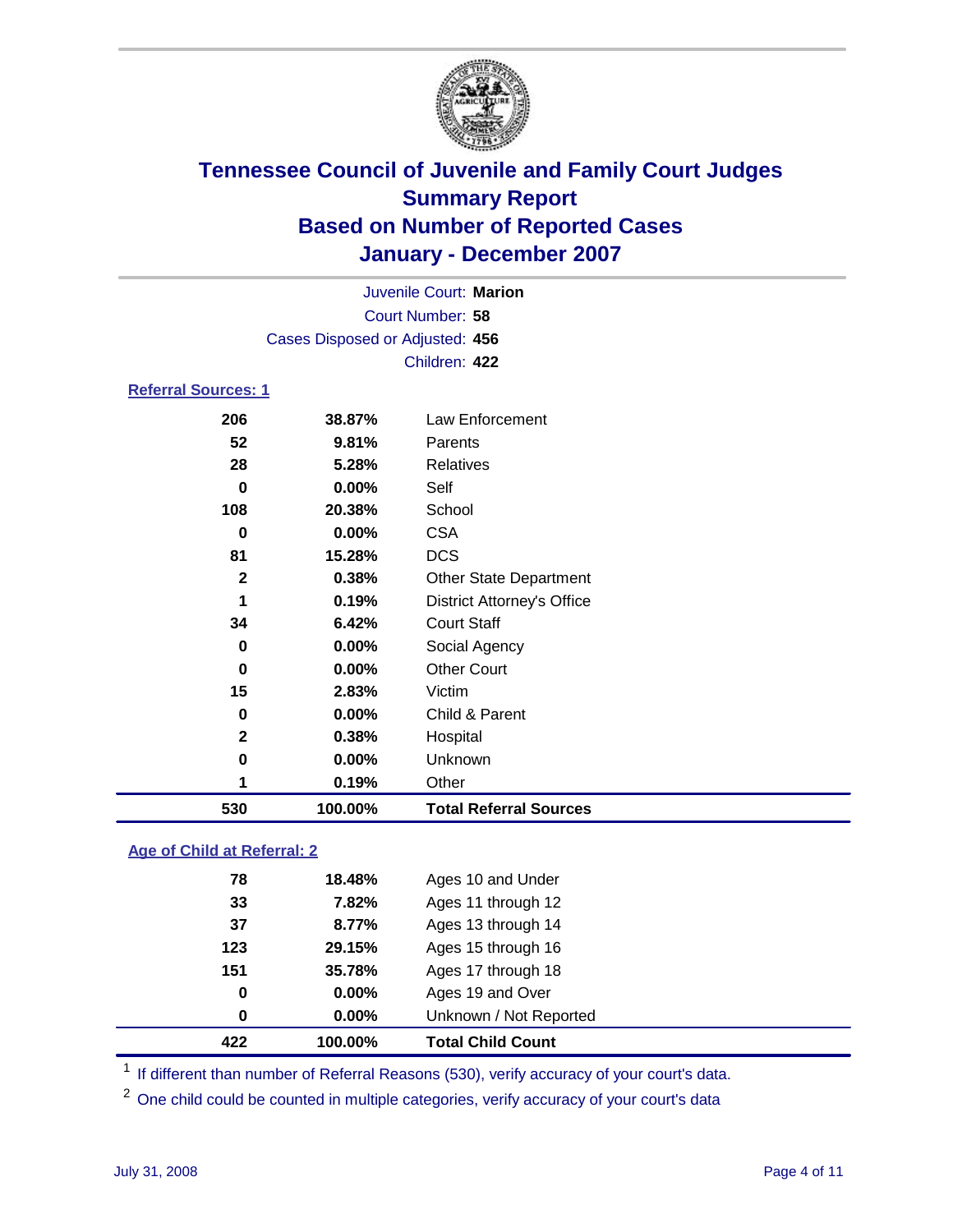

| Juvenile Court: Marion          |  |
|---------------------------------|--|
|                                 |  |
| Court Number: 58                |  |
| Cases Disposed or Adjusted: 456 |  |
| Children: 422                   |  |
| <b>Referral Sources: 1</b>      |  |

### **38.87%** Law Enforcement **9.81%** Parents **5.28%** Relatives **0.00%** Self **20.38%** School **0.00%** CSA **15.28%** DCS **0.38%** Other State Department **0.19%** District Attorney's Office **6.42%** Court Staff **0.00%** Social Agency **0.00%** Other Court **2.83%** Victim **0.00%** Child & Parent **0.38%** Hospital **0.00%** Unknown **0.19%** Other **100.00% Total Referral Sources**

#### **Age of Child at Referral: 2**

| 422 | 100.00% | <b>Total Child Count</b> |
|-----|---------|--------------------------|
| 0   | 0.00%   | Unknown / Not Reported   |
| 0   | 0.00%   | Ages 19 and Over         |
| 151 | 35.78%  | Ages 17 through 18       |
| 123 | 29.15%  | Ages 15 through 16       |
| 37  | 8.77%   | Ages 13 through 14       |
| 33  | 7.82%   | Ages 11 through 12       |
| 78  | 18.48%  | Ages 10 and Under        |
|     |         |                          |

<sup>1</sup> If different than number of Referral Reasons (530), verify accuracy of your court's data.

<sup>2</sup> One child could be counted in multiple categories, verify accuracy of your court's data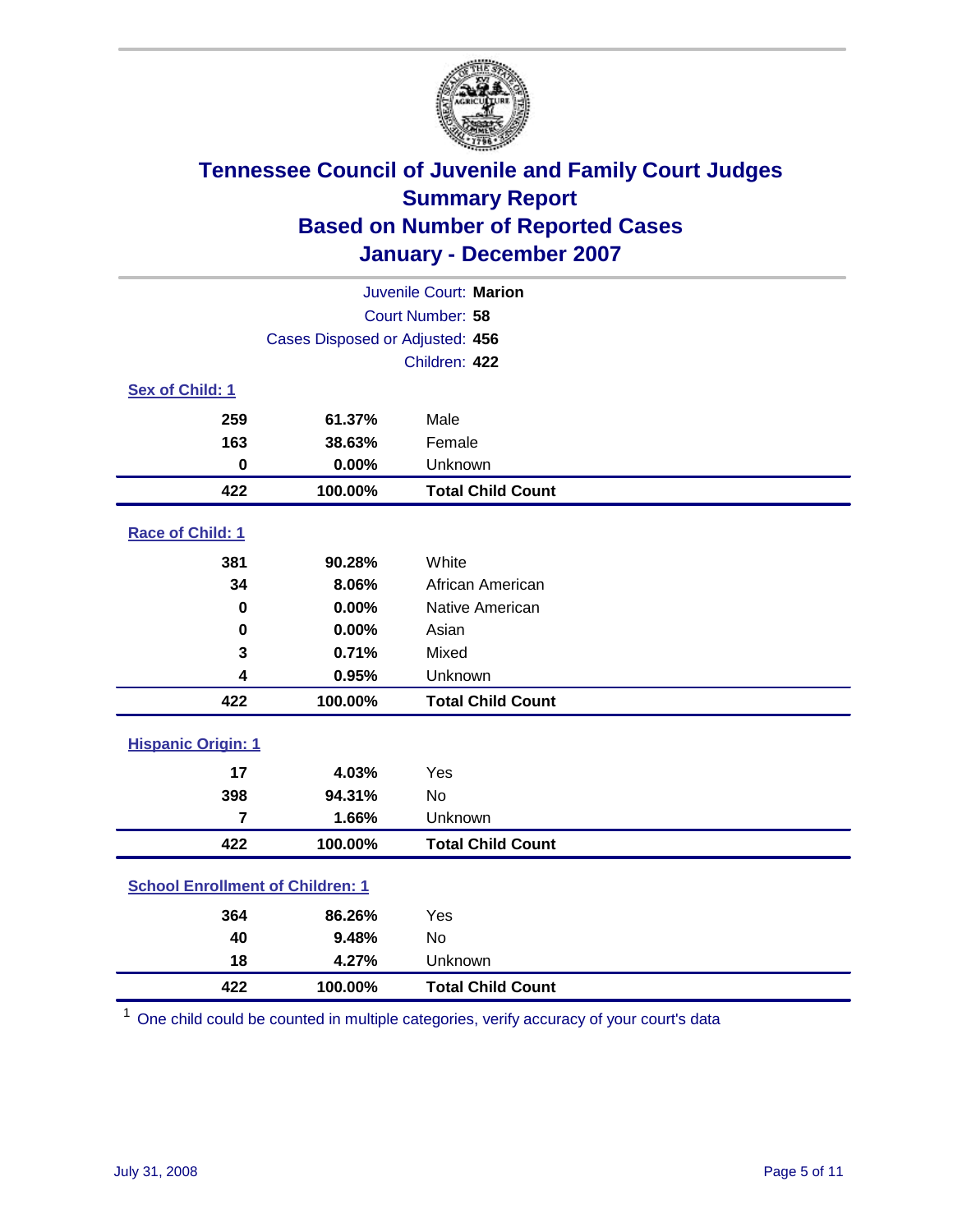

| Juvenile Court: Marion                  |                                 |                          |  |  |
|-----------------------------------------|---------------------------------|--------------------------|--|--|
| Court Number: 58                        |                                 |                          |  |  |
|                                         | Cases Disposed or Adjusted: 456 |                          |  |  |
|                                         |                                 | Children: 422            |  |  |
| Sex of Child: 1                         |                                 |                          |  |  |
| 259                                     | 61.37%                          | Male                     |  |  |
| 163                                     | 38.63%                          | Female                   |  |  |
| $\bf{0}$                                | 0.00%                           | Unknown                  |  |  |
| 422                                     | 100.00%                         | <b>Total Child Count</b> |  |  |
| Race of Child: 1                        |                                 |                          |  |  |
| 381                                     | 90.28%                          | White                    |  |  |
| 34                                      | 8.06%                           | African American         |  |  |
| 0                                       | 0.00%                           | Native American          |  |  |
| $\bf{0}$                                | 0.00%                           | Asian                    |  |  |
| 3                                       | 0.71%                           | Mixed                    |  |  |
| 4                                       | 0.95%                           | Unknown                  |  |  |
| 422                                     | 100.00%                         | <b>Total Child Count</b> |  |  |
| <b>Hispanic Origin: 1</b>               |                                 |                          |  |  |
| 17                                      | 4.03%                           | Yes                      |  |  |
| 398                                     | 94.31%                          | <b>No</b>                |  |  |
| $\overline{7}$                          | 1.66%                           | Unknown                  |  |  |
| 422                                     | 100.00%                         | <b>Total Child Count</b> |  |  |
| <b>School Enrollment of Children: 1</b> |                                 |                          |  |  |
| 364                                     | 86.26%                          | Yes                      |  |  |
| 40                                      | 9.48%                           | <b>No</b>                |  |  |
| 18                                      | 4.27%                           | Unknown                  |  |  |
| 422                                     | 100.00%                         | <b>Total Child Count</b> |  |  |

One child could be counted in multiple categories, verify accuracy of your court's data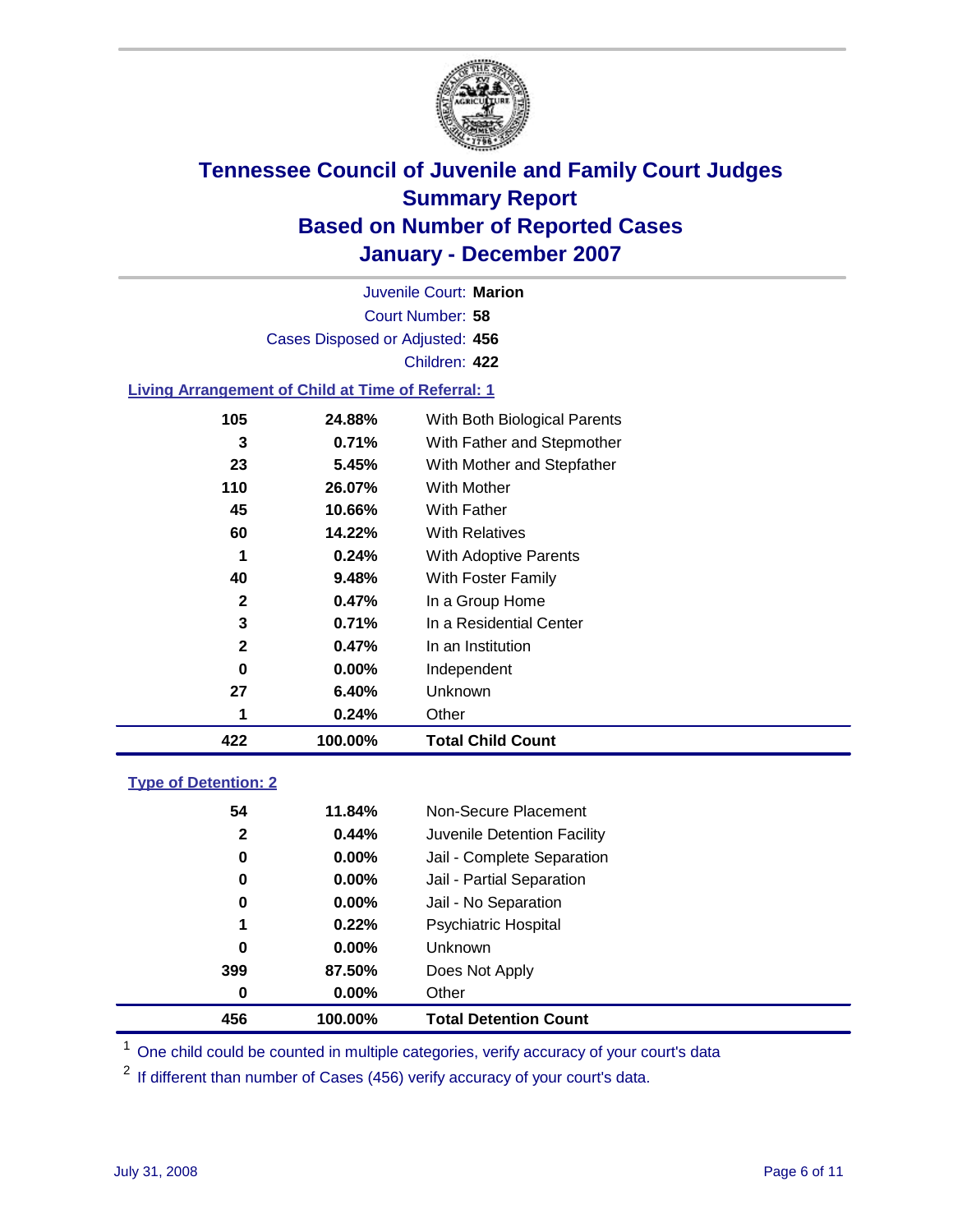

Court Number: **58** Juvenile Court: **Marion** Cases Disposed or Adjusted: **456** Children: **422**

#### **Living Arrangement of Child at Time of Referral: 1**

|              |          | Other                        |
|--------------|----------|------------------------------|
| 27           | 6.40%    | Unknown                      |
| 0            | $0.00\%$ | Independent                  |
| $\mathbf{2}$ | 0.47%    | In an Institution            |
| 3            | 0.71%    | In a Residential Center      |
| $\mathbf{2}$ | 0.47%    | In a Group Home              |
| 40           | 9.48%    | With Foster Family           |
| 1            | 0.24%    | With Adoptive Parents        |
| 60           | 14.22%   | <b>With Relatives</b>        |
| 45           | 10.66%   | <b>With Father</b>           |
| 110          | 26.07%   | With Mother                  |
| 23           | 5.45%    | With Mother and Stepfather   |
| 3            | 0.71%    | With Father and Stepmother   |
| 105          | 24.88%   | With Both Biological Parents |
|              | 1        | 0.24%                        |

#### **Type of Detention: 2**

| 456          | 100.00%  | <b>Total Detention Count</b> |  |
|--------------|----------|------------------------------|--|
| 0            | 0.00%    | Other                        |  |
| 399          | 87.50%   | Does Not Apply               |  |
| 0            | $0.00\%$ | Unknown                      |  |
| 1            | 0.22%    | <b>Psychiatric Hospital</b>  |  |
| 0            | 0.00%    | Jail - No Separation         |  |
| 0            | $0.00\%$ | Jail - Partial Separation    |  |
| 0            | $0.00\%$ | Jail - Complete Separation   |  |
| $\mathbf{2}$ | 0.44%    | Juvenile Detention Facility  |  |
| 54           | 11.84%   | Non-Secure Placement         |  |
|              |          |                              |  |

<sup>1</sup> One child could be counted in multiple categories, verify accuracy of your court's data

<sup>2</sup> If different than number of Cases (456) verify accuracy of your court's data.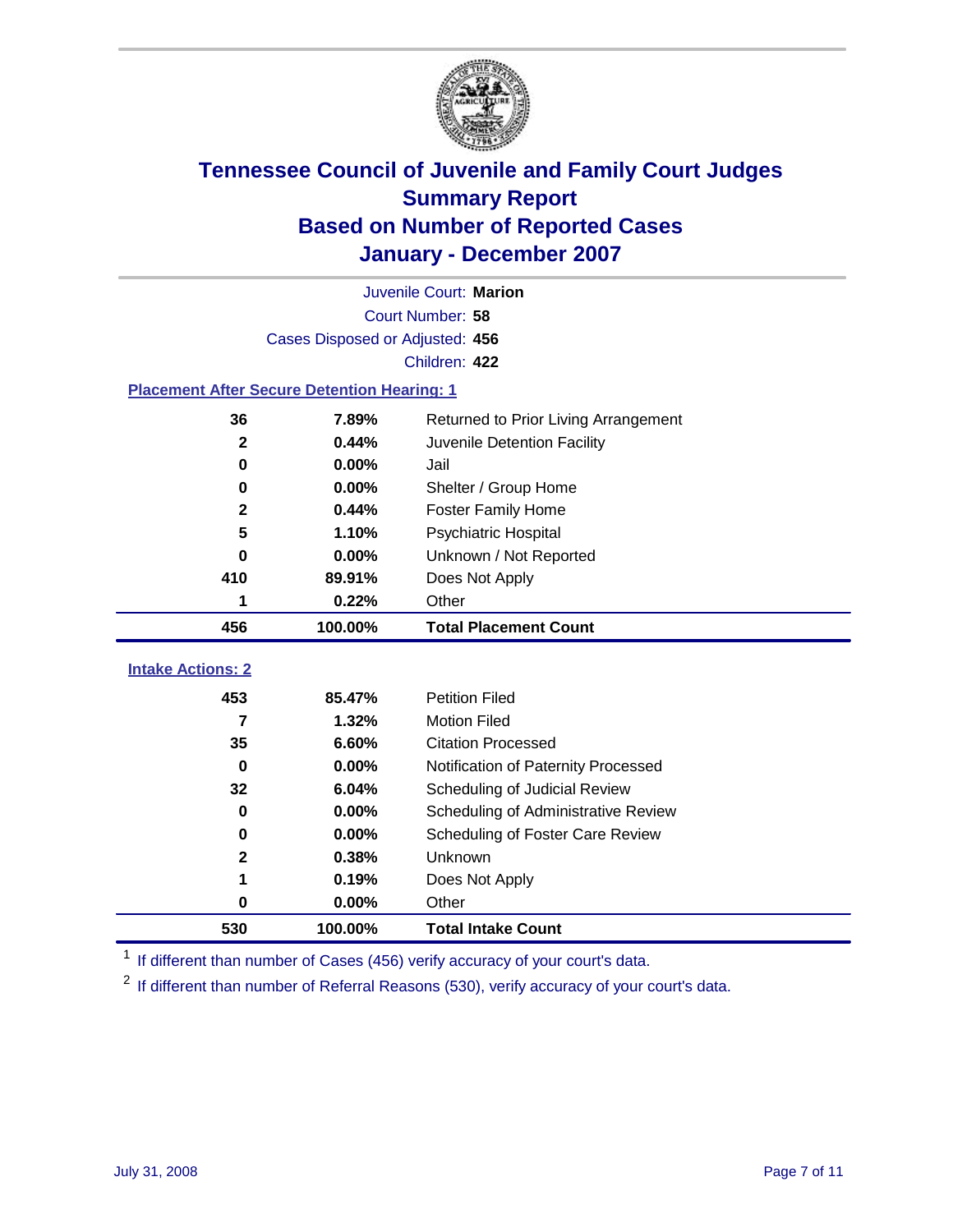

|                                                    | Juvenile Court: Marion          |                                      |  |  |  |
|----------------------------------------------------|---------------------------------|--------------------------------------|--|--|--|
|                                                    | Court Number: 58                |                                      |  |  |  |
|                                                    | Cases Disposed or Adjusted: 456 |                                      |  |  |  |
|                                                    |                                 | Children: 422                        |  |  |  |
| <b>Placement After Secure Detention Hearing: 1</b> |                                 |                                      |  |  |  |
| 36                                                 | 7.89%                           | Returned to Prior Living Arrangement |  |  |  |
| $\mathbf{2}$                                       | 0.44%                           | Juvenile Detention Facility          |  |  |  |
| $\bf{0}$                                           | 0.00%                           | Jail                                 |  |  |  |
| $\bf{0}$                                           | 0.00%                           | Shelter / Group Home                 |  |  |  |
| $\mathbf 2$                                        | 0.44%                           | <b>Foster Family Home</b>            |  |  |  |
| 5                                                  | 1.10%                           | Psychiatric Hospital                 |  |  |  |
| 0                                                  | 0.00%                           | Unknown / Not Reported               |  |  |  |
| 410                                                | 89.91%                          | Does Not Apply                       |  |  |  |
| 1                                                  | 0.22%                           | Other                                |  |  |  |
| 456                                                | 100.00%                         | <b>Total Placement Count</b>         |  |  |  |
|                                                    |                                 |                                      |  |  |  |
| <b>Intake Actions: 2</b>                           |                                 |                                      |  |  |  |
| 453                                                | 85.47%                          | <b>Petition Filed</b>                |  |  |  |
| $\overline{\mathbf{z}}$                            | 1.32%                           | <b>Motion Filed</b>                  |  |  |  |
| 35                                                 | 6.60%                           | <b>Citation Processed</b>            |  |  |  |
| $\bf{0}$                                           | 0.00%                           | Notification of Paternity Processed  |  |  |  |
| 32                                                 | 6.04%                           | Scheduling of Judicial Review        |  |  |  |
| $\bf{0}$                                           | 0.00%                           | Scheduling of Administrative Review  |  |  |  |
| 0                                                  | 0.00%                           | Scheduling of Foster Care Review     |  |  |  |
| $\mathbf 2$                                        | 0.38%                           | Unknown                              |  |  |  |
| 1                                                  | 0.19%                           | Does Not Apply                       |  |  |  |
| $\bf{0}$                                           | 0.00%                           | Other                                |  |  |  |
| 530                                                | 100.00%                         | <b>Total Intake Count</b>            |  |  |  |

<sup>1</sup> If different than number of Cases (456) verify accuracy of your court's data.

<sup>2</sup> If different than number of Referral Reasons (530), verify accuracy of your court's data.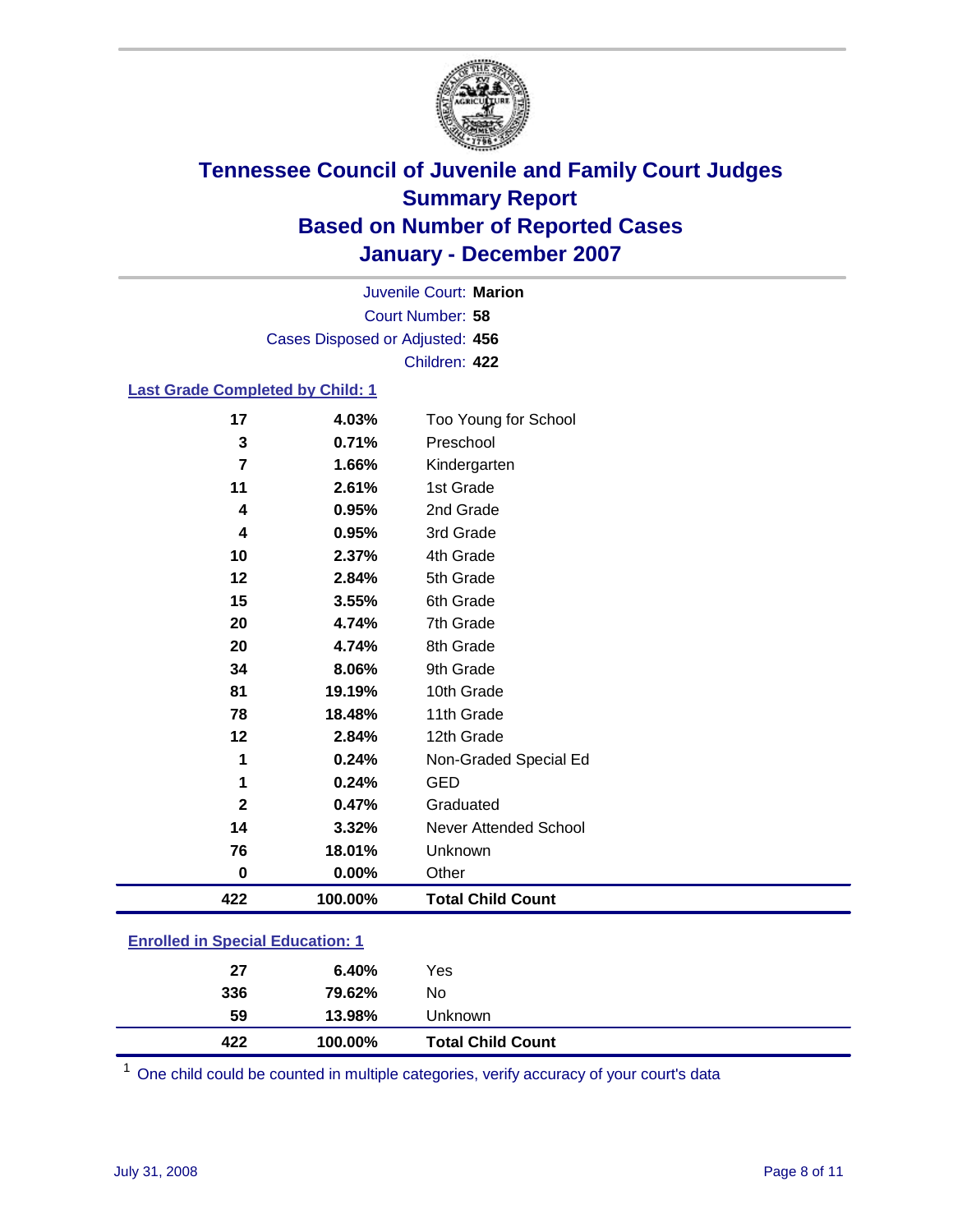

Court Number: **58** Juvenile Court: **Marion** Cases Disposed or Adjusted: **456** Children: **422**

#### **Last Grade Completed by Child: 1**

| 17           | 4.03%   | Too Young for School     |
|--------------|---------|--------------------------|
| 3            | 0.71%   | Preschool                |
| 7            | 1.66%   | Kindergarten             |
| 11           | 2.61%   | 1st Grade                |
| 4            | 0.95%   | 2nd Grade                |
| 4            | 0.95%   | 3rd Grade                |
| 10           | 2.37%   | 4th Grade                |
| 12           | 2.84%   | 5th Grade                |
| 15           | 3.55%   | 6th Grade                |
| 20           | 4.74%   | 7th Grade                |
| 20           | 4.74%   | 8th Grade                |
| 34           | 8.06%   | 9th Grade                |
| 81           | 19.19%  | 10th Grade               |
| 78           | 18.48%  | 11th Grade               |
| 12           | 2.84%   | 12th Grade               |
| 1            | 0.24%   | Non-Graded Special Ed    |
| 1            | 0.24%   | <b>GED</b>               |
| $\mathbf{2}$ | 0.47%   | Graduated                |
| 14           | 3.32%   | Never Attended School    |
| 76           | 18.01%  | Unknown                  |
| $\bf{0}$     | 0.00%   | Other                    |
| 422          | 100.00% | <b>Total Child Count</b> |

### **Enrolled in Special Education: 1**

| 422 | 100.00% | <b>Total Child Count</b> |  |
|-----|---------|--------------------------|--|
| 59  | 13.98%  | Unknown                  |  |
| 336 | 79.62%  | No                       |  |
| 27  | 6.40%   | Yes                      |  |
|     |         |                          |  |

<sup>1</sup> One child could be counted in multiple categories, verify accuracy of your court's data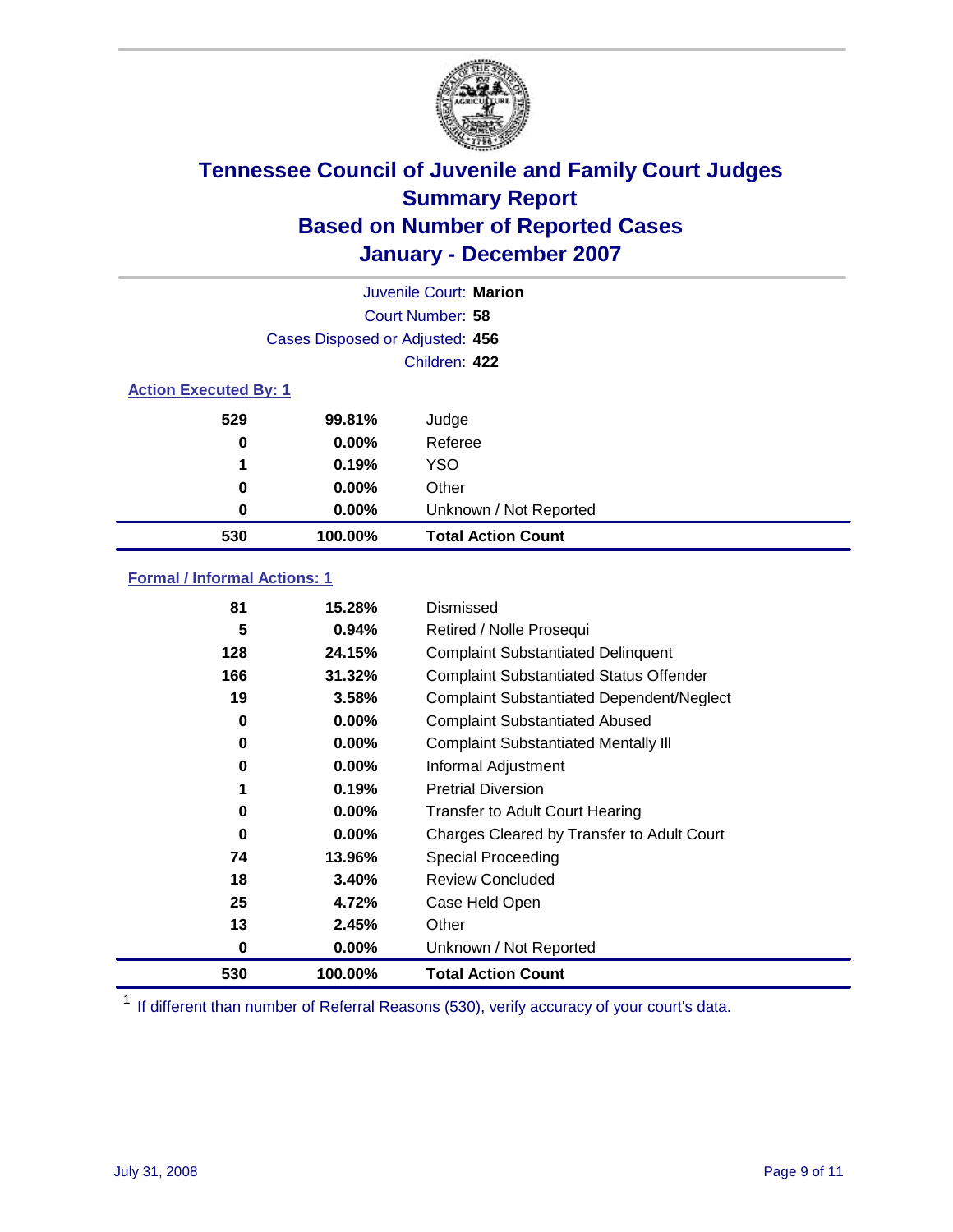

| Juvenile Court: Marion       |                                 |                           |  |  |  |
|------------------------------|---------------------------------|---------------------------|--|--|--|
|                              | Court Number: 58                |                           |  |  |  |
|                              | Cases Disposed or Adjusted: 456 |                           |  |  |  |
|                              |                                 | Children: 422             |  |  |  |
| <b>Action Executed By: 1</b> |                                 |                           |  |  |  |
| 529                          | 99.81%                          | Judge                     |  |  |  |
| 0                            | $0.00\%$                        | Referee                   |  |  |  |
| 1                            | 0.19%                           | <b>YSO</b>                |  |  |  |
| 0                            | 0.00%                           | Other                     |  |  |  |
| 0                            | $0.00\%$                        | Unknown / Not Reported    |  |  |  |
| 530                          | 100.00%                         | <b>Total Action Count</b> |  |  |  |

### **Formal / Informal Actions: 1**

| 81  | 15.28%   | Dismissed                                        |
|-----|----------|--------------------------------------------------|
| 5   | 0.94%    | Retired / Nolle Prosequi                         |
| 128 | 24.15%   | <b>Complaint Substantiated Delinquent</b>        |
| 166 | 31.32%   | <b>Complaint Substantiated Status Offender</b>   |
| 19  | 3.58%    | <b>Complaint Substantiated Dependent/Neglect</b> |
| 0   | $0.00\%$ | <b>Complaint Substantiated Abused</b>            |
| 0   | $0.00\%$ | <b>Complaint Substantiated Mentally III</b>      |
| 0   | $0.00\%$ | Informal Adjustment                              |
| 1   | 0.19%    | <b>Pretrial Diversion</b>                        |
| 0   | $0.00\%$ | <b>Transfer to Adult Court Hearing</b>           |
| 0   | $0.00\%$ | Charges Cleared by Transfer to Adult Court       |
| 74  | 13.96%   | Special Proceeding                               |
| 18  | 3.40%    | <b>Review Concluded</b>                          |
| 25  | 4.72%    | Case Held Open                                   |
| 13  | 2.45%    | Other                                            |
| 0   | 0.00%    | Unknown / Not Reported                           |
| 530 | 100.00%  | <b>Total Action Count</b>                        |

<sup>1</sup> If different than number of Referral Reasons (530), verify accuracy of your court's data.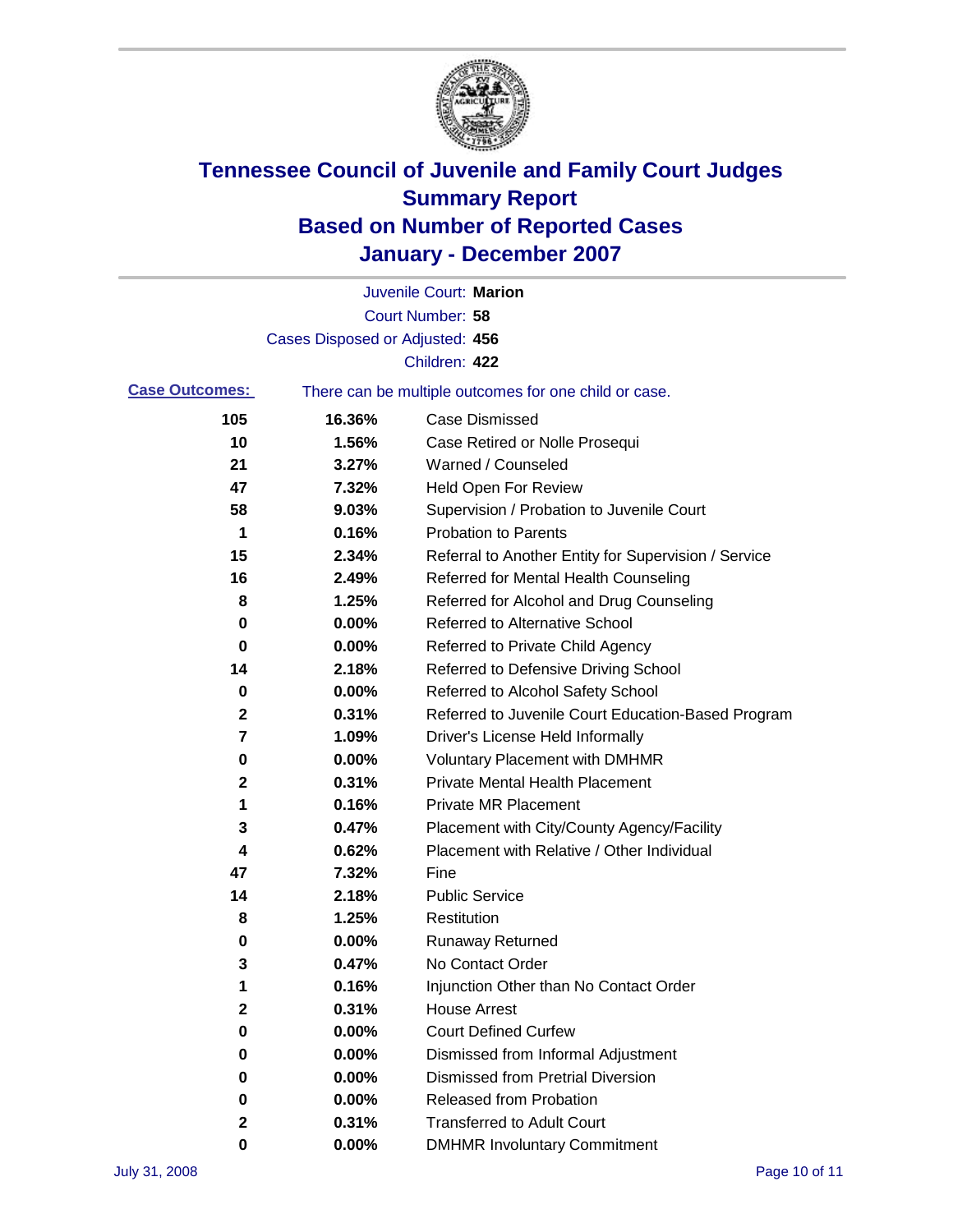

|                       |                                 | Juvenile Court: Marion                                |
|-----------------------|---------------------------------|-------------------------------------------------------|
|                       |                                 | Court Number: 58                                      |
|                       | Cases Disposed or Adjusted: 456 |                                                       |
|                       |                                 | Children: 422                                         |
| <b>Case Outcomes:</b> |                                 | There can be multiple outcomes for one child or case. |
| 105                   | 16.36%                          | <b>Case Dismissed</b>                                 |
| 10                    | 1.56%                           | Case Retired or Nolle Prosequi                        |
| 21                    | 3.27%                           | Warned / Counseled                                    |
| 47                    | 7.32%                           | <b>Held Open For Review</b>                           |
| 58                    | 9.03%                           | Supervision / Probation to Juvenile Court             |
| 1                     | 0.16%                           | <b>Probation to Parents</b>                           |
| 15                    | 2.34%                           | Referral to Another Entity for Supervision / Service  |
| 16                    | 2.49%                           | Referred for Mental Health Counseling                 |
| 8                     | 1.25%                           | Referred for Alcohol and Drug Counseling              |
| 0                     | 0.00%                           | <b>Referred to Alternative School</b>                 |
| 0                     | 0.00%                           | Referred to Private Child Agency                      |
| 14                    | 2.18%                           | Referred to Defensive Driving School                  |
| 0                     | 0.00%                           | Referred to Alcohol Safety School                     |
| 2                     | 0.31%                           | Referred to Juvenile Court Education-Based Program    |
| 7                     | 1.09%                           | Driver's License Held Informally                      |
| 0                     | 0.00%                           | <b>Voluntary Placement with DMHMR</b>                 |
| 2                     | 0.31%                           | <b>Private Mental Health Placement</b>                |
| 1                     | 0.16%                           | <b>Private MR Placement</b>                           |
| 3                     | 0.47%                           | Placement with City/County Agency/Facility            |
| 4                     | 0.62%                           | Placement with Relative / Other Individual            |
| 47                    | 7.32%                           | Fine                                                  |
| 14                    | 2.18%                           | <b>Public Service</b>                                 |
| 8                     | 1.25%                           | Restitution                                           |
| 0                     | 0.00%                           | <b>Runaway Returned</b>                               |
| 3                     | 0.47%                           | No Contact Order                                      |
| 1                     | 0.16%                           | Injunction Other than No Contact Order                |
| 2                     | 0.31%                           | <b>House Arrest</b>                                   |
| 0                     | 0.00%                           | <b>Court Defined Curfew</b>                           |
| 0                     | 0.00%                           | Dismissed from Informal Adjustment                    |
| 0                     | 0.00%                           | <b>Dismissed from Pretrial Diversion</b>              |
| 0                     | 0.00%                           | <b>Released from Probation</b>                        |
| 2                     | 0.31%                           | <b>Transferred to Adult Court</b>                     |
| 0                     | 0.00%                           | <b>DMHMR Involuntary Commitment</b>                   |